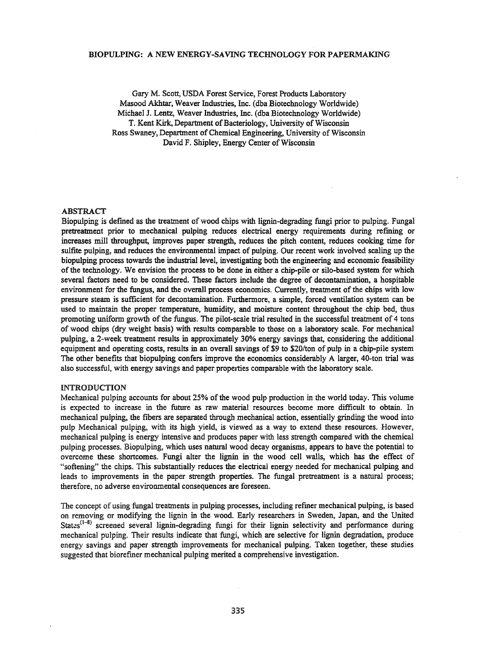## BIOPULPING: A NEW ENERGY-SAVING TECHNOLOGY FOR PAPERMAKING

Gary M. Scott, USDA Forest Service, Forest Products Laboratory Masood Akhtar, Weaver Industries, Inc. (dba Biotechnology Worldwide) Michael J. Lentz, Weaver Industries, Inc. (dba Biotechnology Worldwide) T. Kent Kirk, Department of Bacteriology, University of Wisconsin Ross Swaney, Department of Chemical Engineering, University of Wisconsin David F. Shipley, Energy Center of Wisconsin

### ABSTRACT

Biopulping is defmed as the treatment of wood chips with lignin-degrading fungi prior to pulping. Fungal pretreatment prior to mechanical pulping reduces electrical energy requirements during refining or increases mill throughput, improves paper strength, reduces the pitch content, reduces cooking time for sulfite pulping, and reduces the environmental impact of pulping. Our recent work involved scaling up the biopulping process towards the industrial level, investigating both the engineering and economic feasibility of the technology. We envision the process to be done in either a chip-pile or silo-based system for which several factors need to be considered. These factors include the degree of decontamination, a hospitable environment for the fungus, and the overall process economics. Currently, treatment of the chips with low pressure steam is sufficient for decontamination. Furthermore, a simple, forced ventilation system can be used to maintain the proper temperature, humidity, and moisture content throughout the chip bed, thus promoting uniform growth of the fungus. The pilot-scale trial resulted in the successful treatment of 4 tons of wood chips (dry weight basis) with results comparable to those on a laboratory scale. For mechanical pulping, a 2-week treatment results in approximately 30% energy savings that, considering the additional equipment and operating costs, results in an overall savings of \$9 to *\$20/ton* of pulp in a chip-pile system The other benefits that biopulping confers improve the economics considerably A larger, 40-ton trial was also successful, with energy savings and paper properties comparable with the laboratory scale.

### INTRODUCTION

Mechanical pulping accounts for about 25% of the wood pulp production in the world today. This volume is expected to increase in the future as raw material resources become more difficult to obtain. In mechanical pulping, the fibers are separated through mechanical action, essentially grinding the wood into pulp Mechanical pulping, with its high yield, is viewed as a way to extend these resources. However, mechanical pulping is energy intensive and produces paper with less strength compared with the chemical pulping processes. Biopulping, which uses natural wood decay organisms, appears to have the potential to overcome these shortcomes. Fungi alter the lignin in the wood cell walls, which has the effect of "softening" the chips. This substantially reduces the electrical energy needed for mechanical pulping and leads to improvements in the paper strength properties. The fungal pretreatment is a natural process; therefore, no adverse environmental consequences are foreseen.

The concept of using fungal treatments in pulping processes, including refmer mechanical pulping, is based on removing or modifying the lignin in the wood. Early researchers in Sweden, Japan, and the United States<sup>(1-3)</sup> screened several lignin-degrading fungi for their lignin selectivity and performance during mechanical pulping. Their results indicate that fungi, which are selective for lignin degradation, produce energy savings and paper strength improvements for mechanical pulping. Taken together, these studies suggested that biorefmer mechanical pulping merited a comprehensive investigation.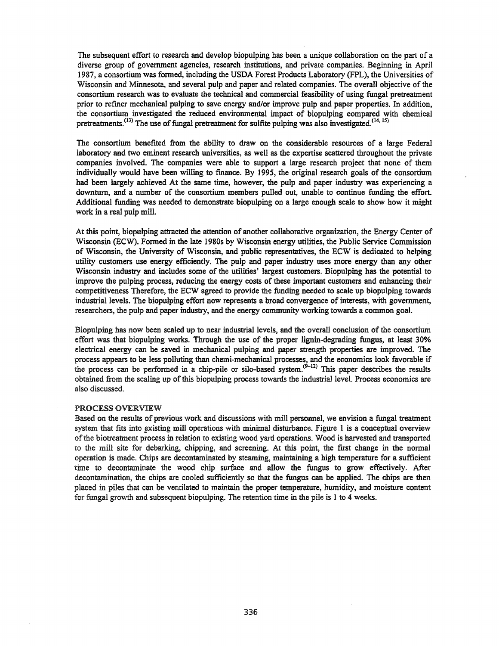The subsequent effort to research and develop biopulping has been a unique collaboration on the part of a diverse group of government agencies, research institutions, and private companies. Beginning in April 1987, a consortium was formed, including the USDA Forest Products Laboratory (FPL), the Universities of Wisconsin and Minnesota, and several pulp and paper and related companies. The overall objective of the consortium research was to evaluate the technical and commercial feasibility of using fungal pretreatment prior to refmer mechanical pulping to save energy and/or improve pulp and paper properties. In addition, the consortium investigated the reduced environmental impact of biopulping compared with chemical pretreatments.<sup>(13)</sup> The use of fungal pretreatment for sulfite pulping was also investigated.<sup>(14, 15)</sup>

The consortium benefited from the ability to draw on the considerable resources of a large Federal laboratory and two eminent research universities, as well as the expertise scattered throughout the private companies involved. The companies were able to support a large research project that none of them individually would have been willing to finance. By 1995, the original research goals of the consortium had been largely achieved At the same time, however, the pulp and paper industry was experiencing a downturn, and a number of the consortium members pulled out, unable to continue funding the effort. Additional funding was needed to demonstrate biopulping on a large enough scale to show how it might work in a real pulp mill.

At this point, biopulping attracted the attention of another collaborative organization, the Energy Center of Wisconsin (ECW). Formed in the late 1980s by Wisconsin energy utilities, the Public Service Commission of Wisconsin, the University of Wisconsin, and public representatives, the ECW is dedicated to helping utility customers use energy efficiently. The pulp and paper industry uses more energy than any other Wisconsin industry and includes some of the utilities' largest customers. Biopulping has the potential to improve the pulping process, reducing the energy costs of these important customers and enhancing their competitiveness Therefore, the ECW agreed to provide the funding needed to scale up biopulping towards industrial levels. The biopulping effort now represents a broad convergence of interests, with government, researchers, the pulp and paper industry, and the energy community working towards a common goal.

Biopulping has now been scaled up to near industrial levels, and the overall conclusion ofthe consortium effort was that biopulping works. Through the use of the proper lignin-degrading fungus, at least 30% electrical energy can be saved in mechanical pulping and paper strength properties are improved. The process appears to be less polluting than chemi-mechanical processes, and the economics look favorable if the process can be performed in a chip-pile or silo-based system.<sup> $(9-12)$ </sup> This paper describes the results obtained from the scaling up ofthis biopulping process towards the industrial level. Process economics are also discussed.

### PROCESS OVERVIEW

Based on the results of previous work and discussions with mill personnel, we envision a fungal treatment system that fits into existing mill operations with minimal disturbance. Figure 1 is a conceptual overview of the biotreatment process in relation to existing wood yard operations. Wood is harvested and transported to the mill site for debarking, chipping, and screening. At this point, the first change in the normal operation is made. Chips are decontaminated by steaming, maintaining a high temperature for a sufficient time to decontaminate the wood chip surface and allow the fungus to grow effectively. After decontamination, the chips are cooled sufficiently so that the fungus can be applied. The chips are then placed in piles that can be ventilated to maintain the proper temperature, humidity, and moisture content for fungal growth and subsequent biopulping. The retention time in the pile is 1 to 4 weeks.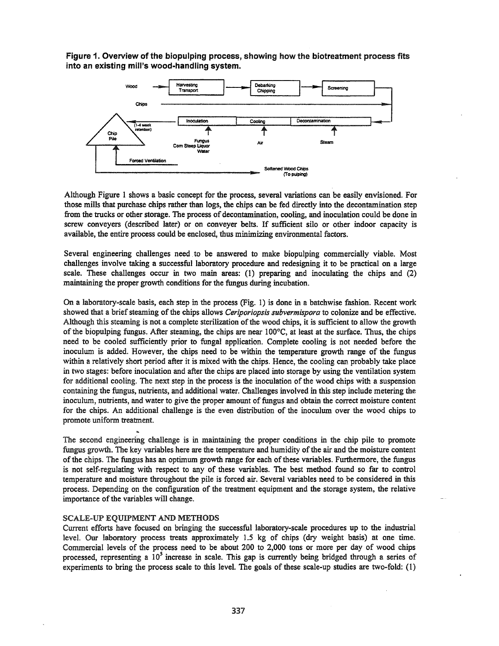Figure 1. Overview of the biopulping process, showing how the biotreatment process fits into an existing mill's wood-handling system.



Although Figure 1 shows a basic concept for the process, several variations can be easily envisioned. For those mills that purchase chips rather than logs, the chips can be fed directly into the decontamination step from the trucks or other storage. The process of decontamination, cooling, and inoculation could be done in screw conveyers (described later) or on conveyer belts. If sufficient silo or other indoor capacity is available, the entire process could be enclosed, thus minimizing environmental factors.

Several engineering challenges need. to be answered to make biopulping commercially viable. Most challenges involve taking a successful laboratory procedure and redesigning it to be practical on a large scale. These challenges occur in two main areas: (1) preparing and inoculating the chips and (2) maintaining the proper growth conditions for the fungus during incubation.

On a laboratory-scale basis, each step in the process (Fig. 1) is done in a batchwise fashion. Recent work showed that a brief steaming of the chips allows *Ceriporiopsis subvermispora* to colonize and be effective. Although this steaming is not a complete sterilization of the wood chips, it is sufficient to allow the growth of the biopulping fungus. After steaming, the chips are near  $100^{\circ}$ C, at least at the surface. Thus, the chips need to be cooled sufficiently prior to fungal application. Complete cooling is not needed before the inoculum is added. However, the chips need to be within the temperature growth range of the fungus within a relatively short period after it is mixed with the chips. Hence, the cooling can probably take place in two stages: before inoculation and after the chips are placed into storage by using the ventilation system for additional cooling. The next step in the process is the inoculation of the wood chips with a suspension containing the fungus, nutrients, and additional water. Challenges involved in this step include metering the inoculum, nutrients, and water to give the proper amount of fungus and obtain the correct moisture content for the chips. An additional challenge is the even distribution of the inoculum over the wood chips to promote uniform treatment.

The second engineering challenge is in maintaining the proper conditions in the chip pile to promote fungus growth. The key variables here are the temperature and humidity of the air and the moisture content of the chips. The fungus has an optimum growth range for each of these variables. Furthermore, the fungus is not self-regulating with respect to any of these variables. The best method found so far to control temperature and moisture throughout the pile is forced air. Several variables need to be considered in this process. Depending on the configuration of the treatment equipment and the storage system, the relative importance of the variables will change.

#### SCALE-UP EQUIPMENT AND METHODS

Current efforts have focused on bringing the successful laboratory-scale procedures up to the industrial level. Our laboratory process treats approximately 1.5 kg of chips (dry weight basis) at one time. Commercial levels of the process need to be about 200 to 2,000 tons or more per day of wood chips processed, representing a  $10<sup>5</sup>$  increase in scale. This gap is currently being bridged through a series of experiments to bring the process scale to this level. The goals of these scale-up studies are two-fold: (1)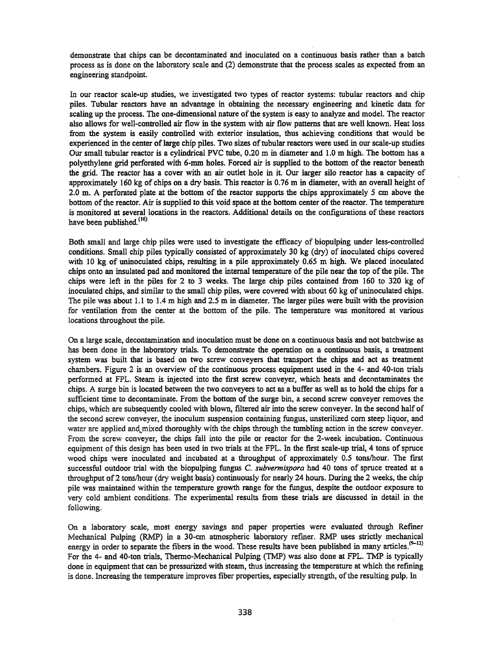demonstrate that chips can be decontaminated and inoculated on a continuous basis rather than a batch process as is done on the laboratory scale and (2) demonstrate that the process scales as expected from an engineering standpoint.

In our reactor scale-up studies, we investigated two types of reactor systems: tubular reactors and chip piles. Tubular reactors have an advantage in obtaining the necessary engineering and kinetic data for scaling up the process. The one-dimensional nature of the system is easy to analyze and model. The reactor also allows for well-controlled air flow in the system with air flow patterns that are well known. Heat loss from the system is easily controlled with exterior insulation, thus achieving conditions that would be experienced in the center of large chip piles. Two sizes of tubular reactors were used in our scale-up studies Our small tubular reactor is a cylindrical PVC tube, 0.20 m in diameter and 1.0 m high. The bottom has a polyethylene grid perforated with 6-mm holes. Forced air is supplied to the bottom of the reactor beneath the grid. The reactor has a cover with an air outlet hole in it. Our larger silo reactor has a capacity of approximately 160 kg of chips on a dry basis. This reactor is 0.76 m in diameter, with an overall height of 2.0 m. A perforated plate at the bottom of the reactor supports the chips approximately 5 em above the bottom of the reactor. Air is supplied to this void space at the bottom center of the reactor. The temperature is monitored at several locations in the reactors. Additional details on the configurations of these reactors have been published.<sup>(16)</sup>

Both small and large chip piles were used to investigate the efficacy of biopulping under less-controlled conditions. Small chip piles typically consisted of approximately 30 kg (dry) of inoculated chips covered with 10 kg of uninoculated chips, resulting in a pile approximately 0.65 m high. We placed inoculated chips onto an insulated pad and monitored the internal temperature of the pile near the top of the pile. The chips were left in the piles for 2 to 3 weeks. The large chip piles contained from 160 to 320 kg of inoculated chips, and similar to the small chip piles, were covered with about 60 kg of uninoculated chips. The pile was about 1.1 to 1.4 m high and 2.5 m in diameter. The larger piles were built with the provision for ventilation from the center at the bottom of the pile. The temperature was monitored at various locations throughout the pile.

On a large scale, decontamination and inoculation must be done on a continuous basis and not batchwise as has been done in the laboratory trials. To demonstrate the operation on a continuous basis, a treatment system was built that is based on two screw conveyers that transport the chips and act as treatment chambers. Figure 2 is an overview of the continuous process equipment used in the 4- and 40-ton trials performed at FPL. Steam is injected into the first screw conveyer, which heats and decontaminates the chips. A surge bin is located between the two conveyers to act as a buffer as well as to hold the chips for a sufficient time to decontaminate. From the bottom of the surge bin, a second screw conveyer removes the chips, which are subsequently cooled with blown, filtered air into the screw conveyer. In the second half of the second screw conveyer, the inoculum suspension containing fungus, unsterilized com steep liquor, and water are applied and mixed thoroughly with the chips through the tumbling action in the screw conveyer. From the screw conveyer, the chips fall into the pile or reactor for the 2-week incubation. Continuous equipment of this design has been used in two trials at the FPL. In the first scale-up trial, 4 tons of spruce wood chips were inoculated and incubated at a throughput of approximately 0.5 tons/hour. The first successful outdoor trial with the biopulping fungus C. *subvermispora* had 40 tons of spruce treated at a throughput of2 tons/hour (dry weight basis) continuously for nearly 24 hours. During the 2 weeks, the chip pile was maintained within the temperature growth range for the fungus, despite the outdoor exposure to very cold ambient conditions. The experimental results from these trials are discussed in detail in the following.

On a laboratory scale, most energy savings and paper properties were evaluated through Refmer Mechanical Pulping (RMP) in a 30-cm atmospheric laboratory refmer. RMP uses strictly mechanical energy in order to separate the fibers in the wood. These results have been published in many articles.<sup>(9-12)</sup> For the 4- and 40-ton trials, Thermo-Mechanical Pulping (TMP) was also done at FPL. TMP is typically done in equipment that can be pressurized with steam, thus increasing the temperature at which the refming is done. Increasing the temperature improves fiber properties, especially strength, of the resulting pulp. In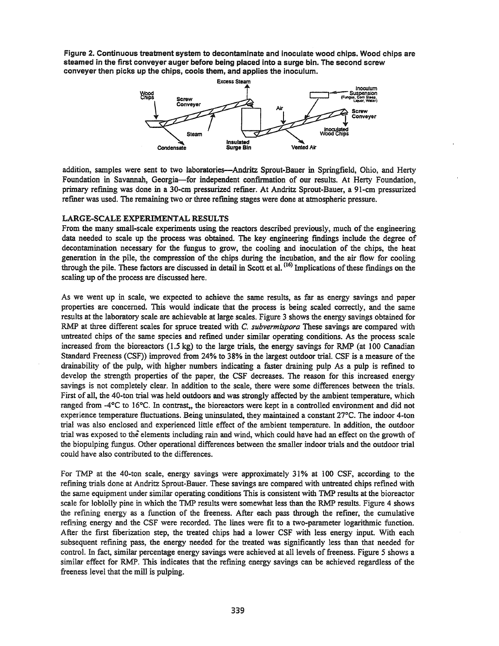Figure 2. Continuous treatment system to decontaminate and inoculate wood chips. Wood chips are steamed in the first conveyer auger before being placed into a surge bin. The second screw conveyer then picks up the chips, cools them, and applies the inoculum.



addition, samples were sent to two laboratories-Andritz Sprout-Bauer in Springfield, Ohio, and Herty Foundation in Savannah, Georgia-for independent confirmation of our results. At Herty Foundation, primary refming was done in a 30-cm pressurized refiner. At Andritz Sprout-Bauer, a 91-cm pressurized refmer was used. The remaining two or three refming stages were done at atmospheric pressure.

## LARGE-SCALE EXPERIMENTAL RESULTS

From the many small-scale experiments using the reactors described previously, much of the engineering data needed to scale up the process was obtained. The key engineering findings include the degree of decontamination necessary for the fungus to grow, the cooling and inoculation of the chips, the heat generation in the pile, the compression of the chips during the incubation, and the air flow for cooling through the pile. These factors are discussed in detail in Scott et al. <sup>(16)</sup> Implications of these findings on the scaling up of the process are discussed here.

As we went up in scale, we expected to achieve the same results, as far as energy savings and paper properties are concerned. This would indicate that the process is being scaled correctly, and the same results at the laboratory scale are achievable at large scales. Figure 3 shows the energy savings obtained for RMP at three different scales for spruce treated with C. *subvermispora* These savings are compared with untreated chips of the same species and refined under similar operating conditions. As the process scale increased from the bioreactors (1.5 kg) to the large trials, the energy savings for RMP (at 100 Canadian Standard Freeness (CSF)) improved from 24% to 38% in the largest outdoor trial. CSF is a measure of the drainability of the pulp, with higher numbers indicating a faster draining pulp As a pulp is refmed to develop the strength properties of the paper, the CSF decreases. The reason for this increased energy savings is not completely clear. In addition to the scale, there were some differences between the trials. First of all, the 40-ton trial was held outdoors and was strongly affected by the ambient temperature, which ranged from  $-4^{\circ}$ C to 16 $^{\circ}$ C. In contrast, the bioreactors were kept in a controlled environment and did not experience temperature fluctuations. Being uninsulated, they maintained a constant 27°C. The indoor 4-ton trial was also enclosed and experienced little effect of the ambient temperature. In addition, the outdoor trial was exposed to the elements including rain and wind, which could have had an effect on the growth of the biopulping fungus. Other operational differences between the smaller indoor trials and the outdoor trial could have also contributed to the differences.

For TMP at the 40-ton scale, energy savings were approximately 31% at 100 CSF, according to the refming trials done at Andritz Sprout-Bauer. These savings are compared with untreated chips refmed with the same equipment under similar operating conditions This is consistent with TMP results at the bioreactor scale for loblolly pine in which the TMP results were somewhat less than the RMP results. Figure 4 shows the refming energy as a function of the freeness. After each pass through the refmer, the cumulative refining energy and the CSF were recorded. The lines were fit to a two-parameter logarithmic function. After the first fiberization step, the treated chips had a lower CSF with less energy input. With each subsequent refining pass, the energy needed for the treated was significantly less than that needed for control. In fact, similar percentage energy savings were achieved at all levels of freeness. Figure 5 shows a similar effect for RMP. This indicates that the refming energy savings can be achieved regardless of the freeness level that the mill is pulping.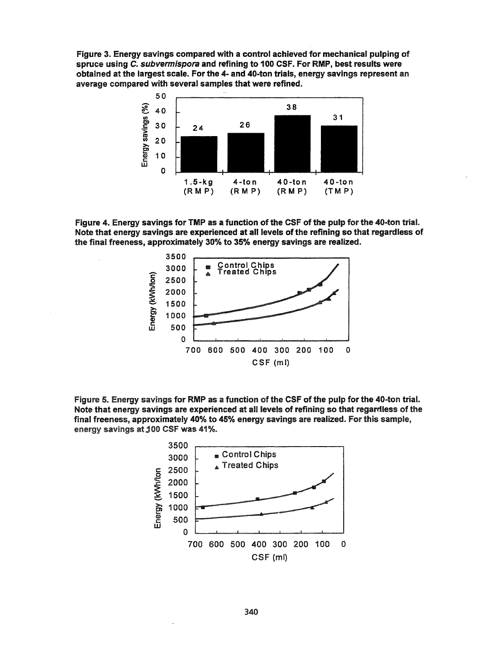Figure 3. Energy savings compared with a control achieved for mechanical pulping of spruce using C. subvermispora and refining to 100 CSF. For RMP, best results were obtained at the largest scale. For the 4- and 40-ton trials, energy savings represent an average compared with several samples that were refined.



Figure 4. Energy savings for TMP as a function of the CSF of the pulp for the 40-ton trial. Note that energy savings are experienced at all levels of the refining so that regardless of the final freeness, approximately 30% to 35% energy savings are realized.



Figure 5. Energy savings for RMP as a function of the CSF of the pulp for the 40-ton trial. Note that energy savings are experienced at all levels of refining so that regardless of the final freeness, approximately 40% to 45% energy savings are realized. For this sample, energy savings at 100 CSF was 41%.

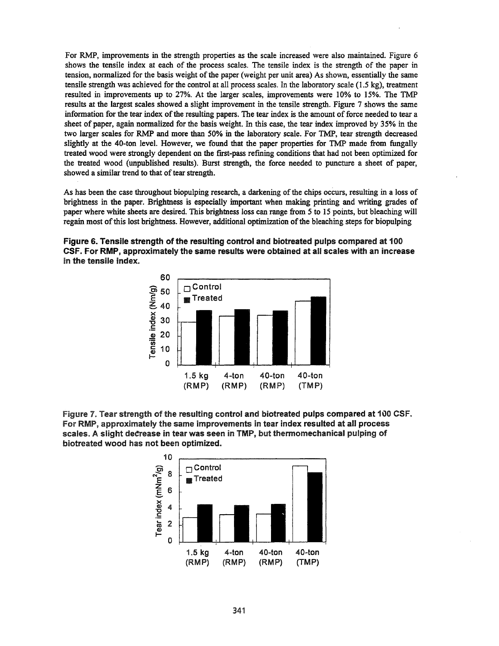For RMP, improvements in the strength properties as the scale increased were also maintained. Figure 6 shows the tensile index at each of the process scales. The tensile index is the strength of the paper in tension, normalized for the basis weight of the paper (weight per unit area) As shown, essentially the same tensile strength was achieved for the control at all process scales. In the laboratory scale (1.5 kg), treatment resulted in improvements up to 27%. At the larger scales, improvements were 10% to 15%. The TMP results at the largest scales showed a slight improvement in the tensile strength. Figure 7 shows the same information for the tear index of the resulting papers. The tear index is the amount of force needed to tear a sheet of paper, again normalized for the basis weight. In this case, the tear index improved by 35% in the two larger scales for RMP and more than 50% in the laboratory scale. For TMP, tear strength decreased slightly at the 40-ton level. However, we found that the paper properties for TMP made from fungally treated wood were strongly dependent on the first-pass refming conditions that had not been optimized for the treated wood (unpublished results). Burst strength, the force needed to puncture a sheet of paper, showed a similar trend to that of tear strength.

As has been the case throughout biopulping research, a darkening of the chips occurs, resulting in a loss of brightness in the paper. Brightness is especially important when making printing and writing grades of paper where white sheets are desired. This brightness loss can range from 5 to 15 points, but bleaching will regain most of this lost brightness. However, additional optimization of the bleaching steps for biopulping

Figure 6. Tensile strength of the resulting control and biotreated pulps compared at 100 CSF. For **RMP,** approximately the same results were obtained at all scales with an increase in the tensile index.



Figure 7. Tear strength of the resulting control and biotreated pulps compared at 100 CSF. For RMP, approximately the same improvements in tear index resulted at all process scales. A slight decrease in tear was seen in TMP, but thermomechanical pulping of biotreated wood has not been optimized.

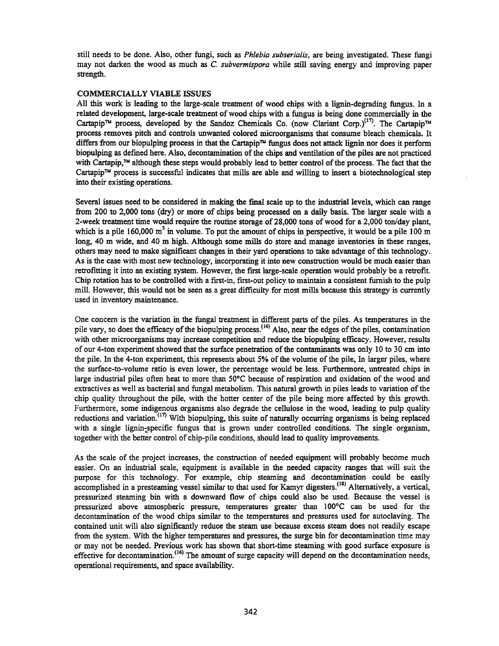still needs to be done. Also, other fungi, such as *Phlebia subserialis,* are being investigated. These fungi may not darken the wood as much as C. *subvermispora* while still saving energy and improving paper strength.

# COMMERCIALLY VIABLE ISSUES

All this work is leading to the large-scale treatment of wood chips with a lignin-degrading fungus. In a related development, large-scale treatment of wood chips with a fungus is being done commercially in the Cartapip<sup>TM</sup> process, developed by the Sandoz Chemicals Co. (now Clariant Corp.)<sup>(17)</sup>. The Cartapip<sup>TM</sup> process removes pitch and controls unwanted colored microorganisms that consume bleach chemicals. It differs from our biopulping process in that the Cartapip™ fungus does not attack lignin nor does it perform biopulping as defined here. Also, decontamination of the chips and ventilation of the piles are not practiced with Cartapip, $\mathsf{Tw}$  although these steps would probably lead to better control of the process. The fact that the Cartapip<sup>TM</sup> process is successful indicates that mills are able and willing to insert a biotechnological step into their existing operations.

Several issues need to be considered in making the final scale up to the industrial levels, which can range from 200 to 2,000 tons (dry) or more of chips being processed on a daily basis. The larger scale with a 2-week treatment time would require the routine storage of 28,000 tons of wood for a 2,000 ton/day plant, which is a pile  $160,000 \text{ m}^3$  in volume. To put the amount of chips in perspective, it would be a pile 100 m long, 40 m wide, and 40 m high. Although some mills do store and manage inventories in these ranges, others may need to make significant changes in their yard operations to take advantage ofthis technology. As is the case with most new technology, incorporating it into new construction would be much easier than retrofitting it into an existing system. However, the first large-scale operation would probably be a retrofit. Chip rotation has to be controlled with a first-in, first-out policy to maintain a consistent furnish to the pulp mill. However, this would not be seen as a great difficulty for most mills because this strategy is currently used in inventory maintenance.

One concern is the variation in the fungal treatment in different parts of the piles. As temperatures in the pile vary, so does the efficacy of the biopulping process.<sup>(16)</sup> Also, near the edges of the piles, contamination with other microorganisms may increase competition and reduce the biopulping efficacy. However, results of our 4-ton experiment showed that the surface penetration of the contaminants was only 10 to 30 cm into the pile. In the 4-ton experiment, this represents about 5% of the volume of the pile, In larger piles, where the surface-to-volume ratio is even lower, the percentage would be less. Furthermore, untreated chips in large industrial piles often heat to more than 50°C because of respiration and oxidation of the wood and extractives as well as bacterial and fungal metabolism. This natural growth in piles leads to variation ofthe chip quality throughout the pile, with the hotter center of the pile being more affected by this growth. Furthermore, some indigenous organisms also degrade the cellulose in the wood, leading to pulp quality reductions and variation.<sup> $(17)$ </sup> With biopulping, this suite of naturally occurring organisms is being replaced with a single lignin-specific fungus that is grown under controlled conditions. The single organism, together with the better control of chip-pile conditions, should lead to quality improvements.

As the scale of the project increases, the construction of needed equipment will probably become much easier. On an industrial scale, equipment is available in the needed capacity ranges that will suit the purpose for this technology. For example, chip steaming and decontamination could be easily accomplished in a presteaming vessel similar to that used for Kamyr digesters.(18) Alternatively, a vertical, pressurized steaming bin with a downward flow of chips could also be used. Because the vessel is pressurized above atmospheric pressure, temperatures greater than 100°C can be used for the decontamination of the wood chips similar to the temperatures and pressures used for autoclaving. The contained unit will also significantly reduce the steam use because excess steam does not readily escape from the system. With the higher temperatures and pressures, the surge bin for decontamination time may or may not be needed. Previous work has shown that short-time steaming with good surface exposure is effective for decontamination.<sup> $(16)$ </sup> The amount of surge capacity will depend on the decontamination needs, operational requirements, and space availability.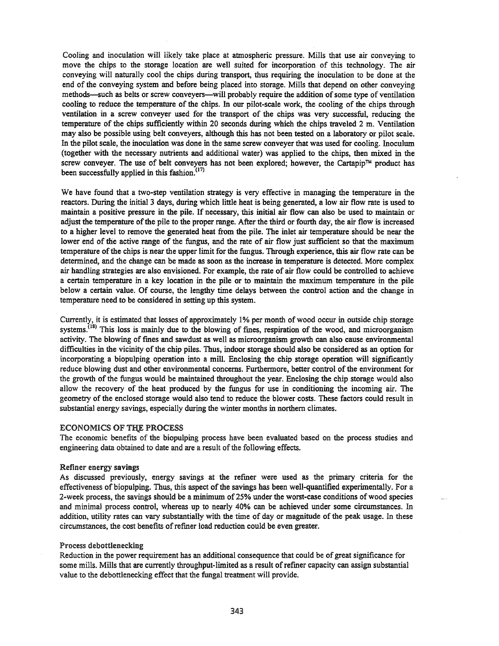Cooling and inoculation will likely take place at atmospheric pressure. Mills that use air conveying to move the chips to the storage location are well suited for incorporation of this technology. The air conveying will naturally cool the chips during transport, thus requiring the inoculation to be done at the end of the conveying system and before being placed into storage. Mills that depend on other conveying methods-such as belts or screw conveyers-will probably require the addition of some type of ventilation cooling to reduce the temperature of the chips. In our pilot-scale work, the cooling of the chips through ventilation in a screw conveyer used for the transport of the chips was very successful, reducing the temperature of the chips sufficiently within 20 seconds during which the chips traveled 2 m. Ventilation may also be possible using belt conveyers, although this has not been tested on a laboratory or pilot scale. In the pilot scale, the inoculation was done in the same screw conveyer that was used for cooling. Inoculum (together with the necessary nutrients and additional water) was applied to the chips, then mixed in the screw conveyer. The use of belt conveyers has not been explored; however, the Cartapip<sup>TM</sup> product has been successfully applied in this fashion.<sup> $(17)$ </sup>

We have found that a two-step ventilation strategy is very effective in managing the temperature in the reactors. During the initial 3 days, during which little heat is being generated, a low air flow rate is used to maintain a positive pressure in the pile. If necessary, this initial air flow can also be used to maintain or adjust the temperature ofthe pile to the proper range. After the third or fourth day, the air flow is increased to a higher level to remove the generated heat from the pile. The inlet air temperature should be near the lower end of the active range of the fungus, and the rate of air flow just sufficient so that the maximum temperature ofthe chips is near the upper limit for the fungus. Through experience, this air flow rate can be determined, and the change can be made as soon as the increase in temperature is detected. More complex air handling strategies are also envisioned. For example, the rate of air flow could be controlled to achieve a certain temperature in a key location in the pile or to maintain the maximum temperature in the pile below a certain value. Of course, the lengthy time delays between the control action and the change in temperature need to be considered in setting up this system.

Currently, it is estimated that losses of approximately I % per month of wood occur in outside chip storage systems.<sup>(18)</sup> This loss is mainly due to the blowing of fines, respiration of the wood, and microorganism activity. The blowing of fines and sawdust as well as microorganism growth can also cause environmental difficulties in the vicinity of the chip piles. Thus, indoor storage should also be considered as an option for incorporating a biopulping operation into a mill. Enclosing the chip storage operation will significantly reduce blowing dust and other environmental concerns. Furthermore, better control of the environment for the growth of the fungus would be maintained throughout the year. Enclosing the chip storage would also allow the recovery of the heat produced by the fungus for use in conditioning the incoming air. The geometry of the enclosed storage would also tend to reduce the blower costs. These factors could result in substantial energy savings, especially during the winter months in northern climates.

# ECONOMICS OF THE PROCESS

The economic benefits of the biopulping process have been evaluated based on the process studies and engineering data obtained to date and are a result of the following effects.

### Refiner energy savings

As discussed previously, energy savings at the refiner were used as the primary criteria for the effectiveness of biopulping. Thus, this aspect of the savings has been well-quantified experimentally. For a 2-week process, the savings should be a minimum of25% under the worst-case conditions of wood species and minimal process control, whereas up to nearly 40% can be achieved under some circumstances. In addition, utility rates can vary substantially with the time of day or magnitude of the peak usage. In these circumstances, the cost benefits of refiner load reduction could be even greater.

#### Process debottlenecking

Reduction in the power requirement has an additional consequence that could be ofgreat significance for some mills. Mills that are currently throughput-limited as a result ofrefmer capacity can assign substantial value to the debottlenecking effect that the fungal treatment will provide.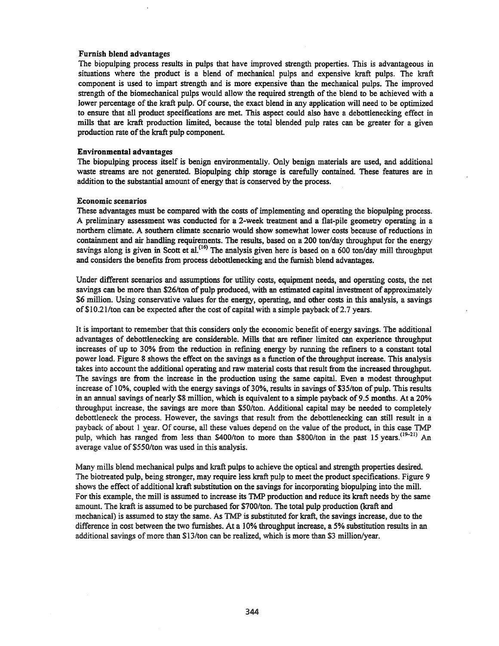#### Furnish blend advantages

The biopulping process results in pulps that have improved strength properties. This is advantageous in situations where the product is a blend of mechanical pulps and expensive kraft pulps. The kraft component is used to impart strength and is more expensive than the mechanical pulps. The improved strength of the biomechanical pulps would allow the required strength of the blend to be achieved with a lower percentage of the kraft pulp. Of course, the exact blend in any application will need to be optimized to ensure that all product specifications are met. This aspect could also have a debottlenecking effect in mills that are kraft production limited, because the total blended pulp rates can be greater for a given production rate of the kraft pulp component.

#### Environmental advantages

The biopulping process itself is benign environmentally. Only benign materials are used, and additional waste streams are not generated. Biopulping chip storage is carefully contained. These features are in addition to the substantial amount of energy that is conserved by the process.

## Economic scenarios

These advantages must be compared with the costs of implementing and operating the biopulping process. A preliminary assessment was conducted for a 2-week treatment and a flat-pile geometry operating in a northern climate. A southern climate scenario would show somewhat lower costs because ofreductions in containment and air handling requirements. The results, based on a 200 ton/day throughput for the energy savings along is given in Scott et al.<sup>(16)</sup> The analysis given here is based on a 600 ton/day mill throughput and considers the benefits from process debottlenecking and the furnish blend advantages.

Under different scenarios and assumptions for utility costs, equipment needs, and operating costs, the net savings can be more than \$26/ton of pulp produced, with an estimated capital investment of approximately \$6 million. Using conservative values for the energy, operating, and other costs in this analysis, a savings of \$10.21/ton can be expected after the cost of capital with a simple payback of 2.7 years.

It is important to remember that this considers only the economic benefit of energy savings. The additional advantages of debottlenecking are considerable. Mills that are refiner limited can experience throughput increases of up to 30% from the reduction in refining energy by running the refiners to a constant total power load. Figure 8 shows the effect on the savings as a function of the throughput increase. This analysis takes into account the additional operating and raw material costs that result from the increased throughput. The savings are from the increase in the production using the same capital. Even a modest throughput increase of 10%, coupled with the energy savings of 30%, results in savings of \$35/ton of pulp. This results in an annual savings of nearly \$8 million, which is equivalent to a simple payback of 9.5 months. At a 20% throughput increase, the savings are more than \$50/ton. Additional capital may be needed to completely debottleneck the process. However, the savings that result from the debottlenecking can still result in a payback of about 1 year. Of course, all these values depend on the value of the product, in this case TMP pulp, which has ranged from less than \$400/ton to more than \$800/ton in the past 15 years.<sup>(19-21)</sup> An average value of \$550/ton was used in this analysis.

Many mills blend mechanical pulps and kraft pulps to achieve the optical and strength properties desired. The biotreated pulp, being stronger, may require less kraft pulp to meet the product specifications. Figure 9 shows the effect of additional kraft substitution on the savings for incorporating biopulping into the mill. For this example, the mill is assumed to increase its TMP production and reduce its kraft needs by the same amount. The kraft is assumed to be purchased for \$700/ton. The total pulp production (kraft and mechanical) is assumed to stay the same. As TMP is substituted for kraft, the savings increase, due to the difference in cost between the two furnishes. At a 10% throughput increase, a 5% substitution results in an additional savings ofmore than \$13/ton can be realized, which is more than \$3 million/year.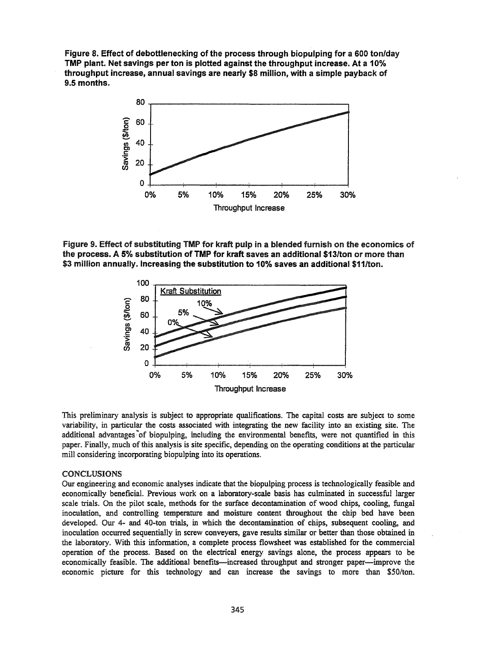Figure 8. Effect of debottlenecking of the process through biopulping for a 600 ton/day TMP plant. Net savings per ton is plotted against the throughput increase. At a 10% throughput increase, annual savings are nearly \$8 million, with a simple payback of 9.5 months.



Figure 9. Effect of substituting TMP for kraft pulp in a blended furnish on the economics of the process. A 5% substitution of TMP for kraft saves an additional \$13/ton or more than \$3 million annually. Increasing the substitution to 10% saves an additional \$11/ton.



This preliminary analysis is subject to appropriate qualifications. The capital costs are subject to some variability, in particular the costs associated with integrating the new facility into an existing site. The additional advantages of biopulping, including the environmental benefits, were not quantified in this paper. Finally, much ofthis analysis is site specific, depending on the operating conditions at the particular mill considering incorporating biopulping into its operations.

## **CONCLUSIONS**

Our engineering and economic analyses indicate that the biopulping process is technologically feasible and economically beneficial. Previous work on a laboratory-scale basis has culminated in successful larger scale trials. On the pilot scale, methods for the surface decontamination of wood chips, cooling, fungal inoculation, and controlling temperature and moisture content throughout the chip bed have been developed. Our 4- and 40-ton trials, in which the decontamination of chips, subsequent cooling, and inoculation occurred sequentially in screw conveyers, gave results similar or better than those obtained in the laboratory. With this information, a complete process flowsheet was established for the commercial operation of the process. Based on the electrical energy savings alone, the process appears to be economically feasible. The additional benefits—increased throughput and stronger paper—improve the economic picture for this technology and can increase the savings to more than \$50/ton.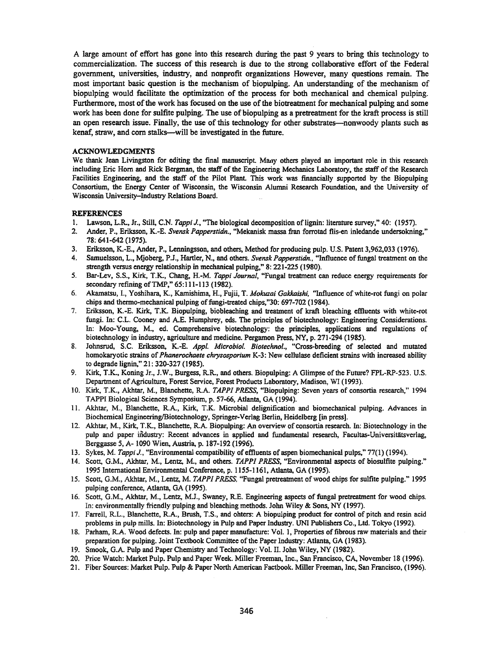A large amount of effort has gone into this research during the past 9 years to bring this technology to commercialization. The success of this research is due to the strong collaborative effort of the Federal government, universities, industry, and nonprofit organizations However, many questions remain. The most important basic question is the mechanism of biopulping. An understanding of the mechanism of biopulping would facilitate the optimization of the process for both mechanical and chemical pulping. Furthermore, most of the work has focused on the use of the biotreatment for mechanical pulping and some work has been done for sulfite pulping. The use of biopulping as a pretreatment for the kraft process is still an open research issue. Finally, the use of this technology for other substrates—nonwoody plants such as kenaf, straw, and com stalks-will be investigated in the future.

#### ACKNOWLEDGMENTS

We thank Jean Livingston for editing the final manuscript. Many others played an important role in this research including Eric Horn and Rick Bergman, the staff of the Engineering Mechanics Laboratory, the staff of the Research Facilities Engineering, and the staff of the Pilot Plant. This work was financially supported by the Biopulping Consortium, the Energy Center of Wisconsin, the Wisconsin Alumni Research Foundation, and the University of Wisconsin University-Industry Relations Board.

#### REFERENCES

- 1. Lawson, L.R., Jr., Still, C.N. *Tappi J.*, "The biological decomposition of lignin: literature survey," 40: (1957).
- 2. Ander, P., Eriksson, K.-E. *Svensk Papperstidn.,* "Mekanisk massa fran forrotad flis-en inledande undersokning," 78: 641-642 (1975).
- 3. Eriksson, K-E., Ander, P., Lenningsson, and others, Method for producing pulp. U.S. Patent 3,962,033 (1976).
- 4. Samuelsson, L., Mjoberg, P.J., Hartler, N., and others. Svensk Papperstidn., "Influence of fungal treatment on the strength versus energy relationship in mechanical pulping," 8: 221-225 (1980).
- 5. Bar-Lev, S.S., Kirk, T.K, Chang, H.-M. *Tappi Journal,* "Fungal treatment can reduce energy requirements for secondary refining of TMP," 65:111-113 (1982).
- 6. Akamatsu, 1., Yoshihara, K, Kamishima, H., Fujii, T. *Mokuzai Gakkaishi,* "Influence of white-rot fungi on polar chips and thermo-mechanical pulping of fungi-treated chips,"30: 697-702 (1984).
- 7. Eriksson, K-E. Kirk, T.K. Biopulping, biobleaching and treatment of kraft bleaching effluents with white-rot fungi. In: C.L. Cooney and A.E. Humphrey, eds. The principles of biotechnology: Engineering Considerations. In: Moo-Young, M., ed. Comprehensive biotechnology: the principles, applications and regulations of biotechnology in industry, agriculture and medicine. Pergamon Press, NY, p. 271-294 (1985).
- 8. Johnsrud, S.C. Eriksson, K.-E. *Appl. Microbiol. Biotechnol.,* "Cross-breeding of selected and mutated homokaryotic strains of*Phanerochaete chrysosporium* K-3: New cellulase deficient strains with increased ability to degrade lignin," 21: 320-327 (1985).
- 9. Kirk, T.K., Koning Jr., J.W., Burgess, R.R., and others. Biopulping: A Glimpse of the Future? FPL-RP-523. U.S. Department of Agriculture, Forest Service, Forest Products Laboratory, Madison, WI (1993).
- 10. Kirk, T.K., Akhtar, M., Blanchette, R.A. *TAPPI PRESS,* "Biopulping: Seven years of consortia research," 1994 TAPPI Biological Sciences Symposium, p. 57-66, Atlanta, GA (1994).
- 11. Akhtar, M., Blanchette, R.A., Kirk, T.K Microbial delignification and biomechanical pulping. Advances in Biochemical EngineeringlBiotechnology, Springer-Verlag Berlin, Heidelberg [in press].
- 12. Akhtar, M., Kirk, T.K, Blanchette, R.A. Biopulping: An overview of consortia research. In: Biotechnology in the pulp and paper industry: Recent advances in applied and fundamental research, Facultas-Universitätsverlag, Berggasse 5, A- 1090 Wien, Austria, p. 187-192 (1996).
- 13. Sykes, M. *Tappi* 1., "Environmental compatibility of effluents of aspen biomechanical pulps," 77(1) (1994).
- 14. Scott, G.M., Akhtar, M., Lentz, M., and others. *TAPPI PRESS,* "Environmental aspects of biosulfite pulping." 1995 International Environmental Conference, p. 1155-1161, Atlanta, GA (1995).
- 15. Scott, G.M., Akhtar, M., Lentz, M. *TAPPI PRESS.* "Fungal pretreatment of wood chips for sulfite pulping." 1995 pulping conference, Atlanta, GA (1995).
- 16. Scott, G.M., Akhtar, M., Lentz, M.J., Swaney, R.E. Engineering aspects of fungal pretreatment for wood chips. In: environmentally friendly pulping and bleaching methods. John Wiley & Sons, NY (1997).
- 17. Farrell, R.L., Blanchette, R.A., Brush, T.S., and ohters: A biopulping product for control of pitch and resin acid problems in pulp mills. In: Biotechnology in Pulp and Paper Industry. UN! Publishers Co., Ltd. Tokyo (1992).
- 18. Parham, R.A. Wood defects. In: pulp and paper manufacture: Vol. I, Properties offibrous raw materials and their preparation for pulping. Joint Textbook Committee ofthe Paper Industry: Atlanta, GA (1983).
- 19. Smook, GA Pulp and Paper Chemistry and Technology: Vol. II. John Wiley, NY (1982).
- 20. Price Watch: Market Pulp. Pulp and Paper Week. Miller Freeman, Inc., San Francisco, CA, November 18 (1996).
- 21. Fiber Sources: Market Pulp. Pulp & Paper North American Factbook. Miller Freeman, Inc, San Francisco, (1996).